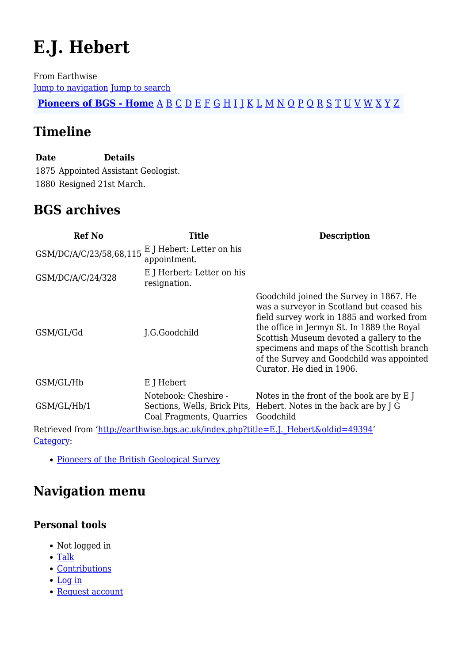# **E.J. Hebert**

From Earthwise [Jump to navigation](#page--1-0) [Jump to search](#page--1-0)

**[Pioneers of BGS - Home](http://earthwise.bgs.ac.uk/index.php/Pioneers_of_the_British_Geological_Survey)** [A](http://earthwise.bgs.ac.uk/index.php/Pioneers_of_the_British_Geological_Survey#A) [B](http://earthwise.bgs.ac.uk/index.php/Pioneers_of_the_British_Geological_Survey#B) [C](http://earthwise.bgs.ac.uk/index.php/Pioneers_of_the_British_Geological_Survey#C) [D](http://earthwise.bgs.ac.uk/index.php/Pioneers_of_the_British_Geological_Survey#D) [E](http://earthwise.bgs.ac.uk/index.php/Pioneers_of_the_British_Geological_Survey#E) [F](http://earthwise.bgs.ac.uk/index.php/Pioneers_of_the_British_Geological_Survey#F) [G](http://earthwise.bgs.ac.uk/index.php/Pioneers_of_the_British_Geological_Survey#G) [H](http://earthwise.bgs.ac.uk/index.php/Pioneers_of_the_British_Geological_Survey#H) [I](http://earthwise.bgs.ac.uk/index.php/Pioneers_of_the_British_Geological_Survey#I) [J](http://earthwise.bgs.ac.uk/index.php/Pioneers_of_the_British_Geological_Survey#J) [K](http://earthwise.bgs.ac.uk/index.php/Pioneers_of_the_British_Geological_Survey#K) [L](http://earthwise.bgs.ac.uk/index.php/Pioneers_of_the_British_Geological_Survey#L) [M](http://earthwise.bgs.ac.uk/index.php/Pioneers_of_the_British_Geological_Survey#M) [N](http://earthwise.bgs.ac.uk/index.php/Pioneers_of_the_British_Geological_Survey#N) [O](http://earthwise.bgs.ac.uk/index.php/Pioneers_of_the_British_Geological_Survey#O) [P](http://earthwise.bgs.ac.uk/index.php/Pioneers_of_the_British_Geological_Survey#P) [Q](http://earthwise.bgs.ac.uk/index.php/Pioneers_of_the_British_Geological_Survey#Q) [R](http://earthwise.bgs.ac.uk/index.php/Pioneers_of_the_British_Geological_Survey#R) [S](http://earthwise.bgs.ac.uk/index.php/Pioneers_of_the_British_Geological_Survey#S) [T](http://earthwise.bgs.ac.uk/index.php/Pioneers_of_the_British_Geological_Survey#T) [U](http://earthwise.bgs.ac.uk/index.php/Pioneers_of_the_British_Geological_Survey#U) [V](http://earthwise.bgs.ac.uk/index.php/Pioneers_of_the_British_Geological_Survey#V) [W](http://earthwise.bgs.ac.uk/index.php/Pioneers_of_the_British_Geological_Survey#W) [X](http://earthwise.bgs.ac.uk/index.php/Pioneers_of_the_British_Geological_Survey#X) [Y](http://earthwise.bgs.ac.uk/index.php/Pioneers_of_the_British_Geological_Survey#Y) [Z](http://earthwise.bgs.ac.uk/index.php/Pioneers_of_the_British_Geological_Survey#Z)

# **Timeline**

**Date Details** 1875 Appointed Assistant Geologist. 1880 Resigned 21st March.

## **BGS archives**

| <b>Ref No</b>                                                                       | <b>Title</b>                                     | <b>Description</b>                                                                                                                                                                                                                                                                                                                                 |
|-------------------------------------------------------------------------------------|--------------------------------------------------|----------------------------------------------------------------------------------------------------------------------------------------------------------------------------------------------------------------------------------------------------------------------------------------------------------------------------------------------------|
| GSM/DC/A/C/23/58,68,115                                                             | E J Hebert: Letter on his<br>appointment.        |                                                                                                                                                                                                                                                                                                                                                    |
| GSM/DC/A/C/24/328                                                                   | E J Herbert: Letter on his<br>resignation.       |                                                                                                                                                                                                                                                                                                                                                    |
| GSM/GL/Gd                                                                           | J.G.Goodchild                                    | Goodchild joined the Survey in 1867. He<br>was a surveyor in Scotland but ceased his<br>field survey work in 1885 and worked from<br>the office in Jermyn St. In 1889 the Royal<br>Scottish Museum devoted a gallery to the<br>specimens and maps of the Scottish branch<br>of the Survey and Goodchild was appointed<br>Curator. He died in 1906. |
| GSM/GL/Hb                                                                           | E J Hebert                                       |                                                                                                                                                                                                                                                                                                                                                    |
| GSM/GL/Hb/1                                                                         | Notebook: Cheshire -<br>Coal Fragments, Quarries | Notes in the front of the book are by E J<br>Sections, Wells, Brick Pits, Hebert. Notes in the back are by J G<br>Goodchild                                                                                                                                                                                                                        |
| Retrieved from 'http://earthwise.bgs.ac.uk/index.php?title=E.J. Hebert&oldid=49394' |                                                  |                                                                                                                                                                                                                                                                                                                                                    |

[Category](http://earthwise.bgs.ac.uk/index.php/Special:Categories):

• [Pioneers of the British Geological Survey](http://earthwise.bgs.ac.uk/index.php/Category:Pioneers_of_the_British_Geological_Survey)

# **Navigation menu**

#### **Personal tools**

- Not logged in
- [Talk](http://earthwise.bgs.ac.uk/index.php/Special:MyTalk)
- [Contributions](http://earthwise.bgs.ac.uk/index.php/Special:MyContributions)
- [Log in](http://earthwise.bgs.ac.uk/index.php?title=Special:UserLogin&returnto=E.J.+Hebert&returntoquery=action%3Dmpdf)
- [Request account](http://earthwise.bgs.ac.uk/index.php/Special:RequestAccount)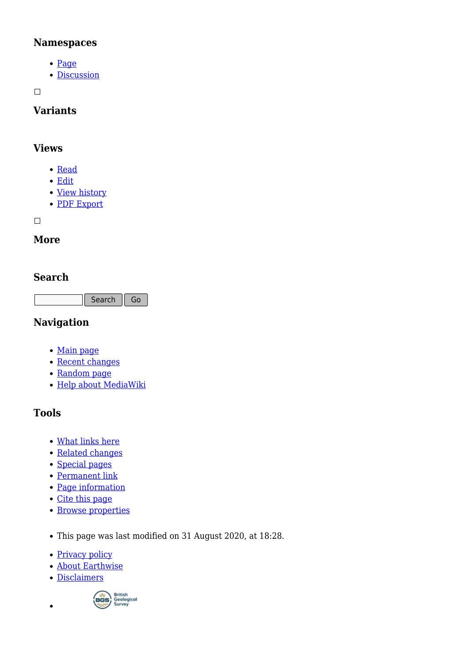#### **Namespaces**

- [Page](http://earthwise.bgs.ac.uk/index.php/E.J._Hebert)
- [Discussion](http://earthwise.bgs.ac.uk/index.php?title=Talk:E.J._Hebert&action=edit&redlink=1)

 $\Box$ 

## **Variants**

#### **Views**

- [Read](http://earthwise.bgs.ac.uk/index.php/E.J._Hebert)
- [Edit](http://earthwise.bgs.ac.uk/index.php?title=E.J._Hebert&action=edit)
- [View history](http://earthwise.bgs.ac.uk/index.php?title=E.J._Hebert&action=history)
- [PDF Export](http://earthwise.bgs.ac.uk/index.php?title=E.J._Hebert&action=mpdf)

 $\Box$ 

#### **More**

#### **Search**

Search Go

## **Navigation**

- [Main page](http://earthwise.bgs.ac.uk/index.php/Main_Page)
- [Recent changes](http://earthwise.bgs.ac.uk/index.php/Special:RecentChanges)
- [Random page](http://earthwise.bgs.ac.uk/index.php/Special:Random)
- [Help about MediaWiki](https://www.mediawiki.org/wiki/Special:MyLanguage/Help:Contents)

## **Tools**

- [What links here](http://earthwise.bgs.ac.uk/index.php/Special:WhatLinksHere/E.J._Hebert)
- [Related changes](http://earthwise.bgs.ac.uk/index.php/Special:RecentChangesLinked/E.J._Hebert)
- [Special pages](http://earthwise.bgs.ac.uk/index.php/Special:SpecialPages)
- [Permanent link](http://earthwise.bgs.ac.uk/index.php?title=E.J._Hebert&oldid=49394)
- [Page information](http://earthwise.bgs.ac.uk/index.php?title=E.J._Hebert&action=info)
- [Cite this page](http://earthwise.bgs.ac.uk/index.php?title=Special:CiteThisPage&page=E.J._Hebert&id=49394)
- [Browse properties](http://earthwise.bgs.ac.uk/index.php/Special:Browse/:E.J.-5FHebert)
- This page was last modified on 31 August 2020, at 18:28.
- [Privacy policy](http://earthwise.bgs.ac.uk/index.php/Earthwise:Privacy_policy)
- [About Earthwise](http://earthwise.bgs.ac.uk/index.php/Earthwise:About)
- [Disclaimers](http://earthwise.bgs.ac.uk/index.php/Earthwise:General_disclaimer)